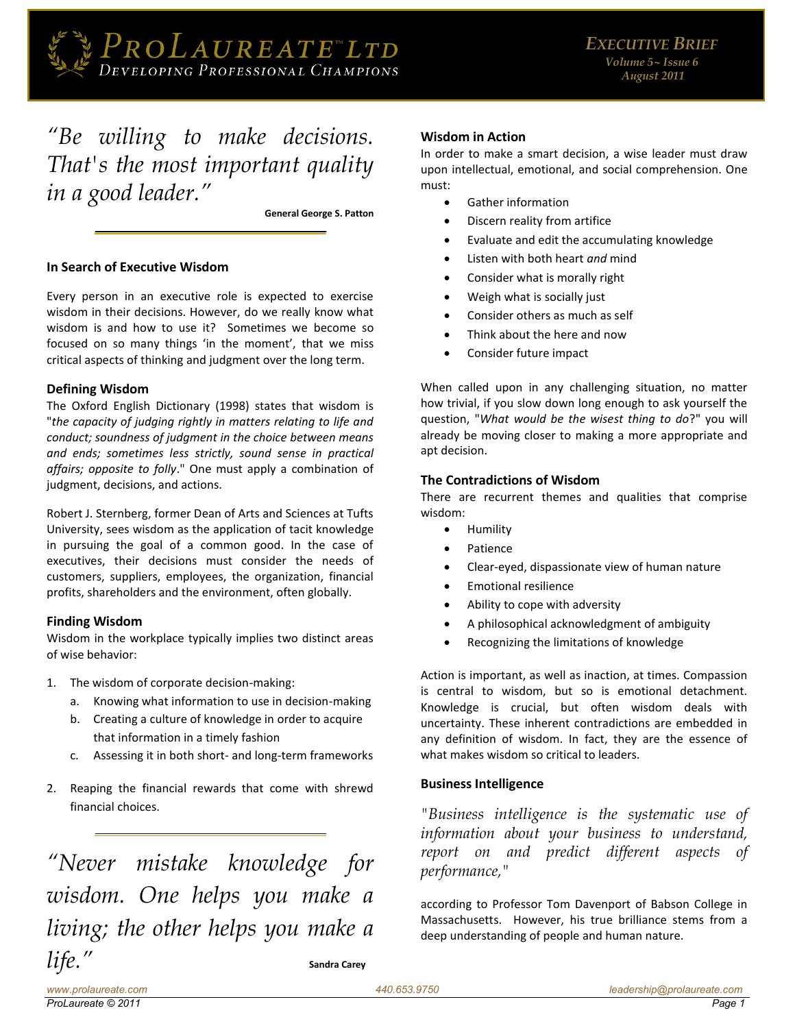

# *"[Be willing to make decisions.](http://thinkexist.com/quotation/be_willing_to_make_decisions-that-s_the_most/147740.html)  [That's the most important quality](http://thinkexist.com/quotation/be_willing_to_make_decisions-that-s_the_most/147740.html)  [in a good leader.](http://thinkexist.com/quotation/be_willing_to_make_decisions-that-s_the_most/147740.html)"*

**General George S. Patton** 

## **In Search of Executive Wisdom**

Every person in an executive role is expected to exercise wisdom in their decisions. However, do we really know what wisdom is and how to use it? Sometimes we become so focused on so many things 'in the moment', that we miss critical aspects of thinking and judgment over the long term.

#### **Defining Wisdom**

The Oxford English Dictionary (1998) states that wisdom is "*the capacity of judging rightly in matters relating to life and conduct; soundness of judgment in the choice between means and ends; sometimes less strictly, sound sense in practical affairs; opposite to folly*." One must apply a combination of judgment, decisions, and actions.

Robert J. Sternberg, former Dean of Arts and Sciences at Tufts University, sees wisdom as the application of tacit knowledge in pursuing the goal of a common good. In the case of executives, their decisions must consider the needs of customers, suppliers, employees, the organization, financial profits, shareholders and the environment, often globally.

## **Finding Wisdom**

Wisdom in the workplace typically implies two distinct areas of wise behavior:

- 1. The wisdom of corporate decision-making:
	- a. Knowing what information to use in decision-making
	- b. Creating a culture of knowledge in order to acquire that information in a timely fashion
	- c. Assessing it in both short- and long-term frameworks
- 2. Reaping the financial rewards that come with shrewd financial choices.

*"[Never mistake knowledge for](http://thinkexist.com/quotation/never_mistake_knowledge_for_wisdom-one_helps_you/219304.html)  [wisdom. One helps you make a](http://thinkexist.com/quotation/never_mistake_knowledge_for_wisdom-one_helps_you/219304.html)  [living; the other helps you make a](http://thinkexist.com/quotation/never_mistake_knowledge_for_wisdom-one_helps_you/219304.html)*   $life.''$  $life.''$  sandra Carey

## **Wisdom in Action**

In order to make a smart decision, a wise leader must draw upon intellectual, emotional, and social comprehension. One must:

- Gather information
- Discern reality from artifice
- Evaluate and edit the accumulating knowledge
- Listen with both heart *and* mind
- Consider what is morally right
- Weigh what is socially just
- Consider others as much as self
- Think about the here and now
- Consider future impact

When called upon in any challenging situation, no matter how trivial, if you slow down long enough to ask yourself the question, "*What would be the wisest thing to do*?" you will already be moving closer to making a more appropriate and apt decision.

## **The Contradictions of Wisdom**

There are recurrent themes and qualities that comprise wisdom:

- **•** Humility
- Patience
- Clear-eyed, dispassionate view of human nature
- Emotional resilience
- Ability to cope with adversity
- A philosophical acknowledgment of ambiguity
- Recognizing the limitations of knowledge

Action is important, as well as inaction, at times. Compassion is central to wisdom, but so is emotional detachment. Knowledge is crucial, but often wisdom deals with uncertainty. These inherent contradictions are embedded in any definition of wisdom. In fact, they are the essence of what makes wisdom so critical to leaders.

## **Business Intelligence**

*"Business intelligence is the systematic use of information about your business to understand, report on and predict different aspects of performance,"* 

according to Professor Tom Davenport of Babson College in Massachusetts. However, his true brilliance stems from a deep understanding of people and human nature.